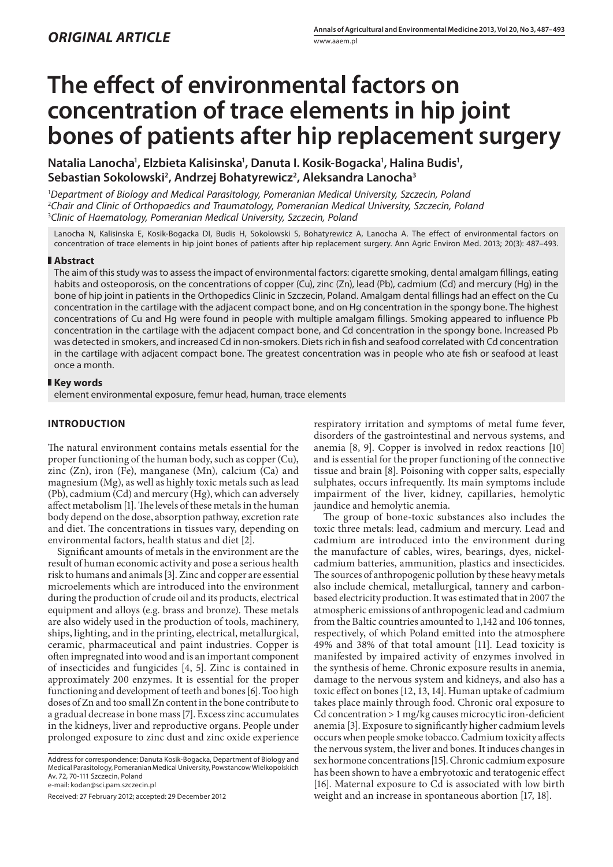# **The effect of environmental factors on concentration of trace elements in hip joint bones of patients after hip replacement surgery**

Natalia Lanocha<sup>1</sup>, Elzbieta Kalisinska<sup>1</sup>, Danuta I. Kosik-Bogacka<sup>1</sup>, Halina Budis<sup>1</sup>, **Sebastian Sokolowski2 , Andrzej Bohatyrewicz2 , Aleksandra Lanocha3**

1 *Department of Biology and Medical Parasitology, Pomeranian Medical University, Szczecin, Poland* 2 *Chair and Clinic of Orthopaedics and Traumatology, Pomeranian Medical University, Szczecin, Poland* 3 *Clinic of Haematology, Pomeranian Medical University, Szczecin, Poland*

Lanocha N, Kalisinska E, Kosik-Bogacka DI, Budis H, Sokolowski S, Bohatyrewicz A, Lanocha A. The effect of environmental factors on concentration of trace elements in hip joint bones of patients after hip replacement surgery. Ann Agric Environ Med. 2013; 20(3): 487–493.

## **Abstract**

The aim of this study was to assess the impact of environmental factors: cigarette smoking, dental amalgam fillings, eating habits and osteoporosis, on the concentrations of copper (Cu), zinc (Zn), lead (Pb), cadmium (Cd) and mercury (Hg) in the bone of hip joint in patients in the Orthopedics Clinic in Szczecin, Poland. Amalgam dental fillings had an effect on the Cu concentration in the cartilage with the adjacent compact bone, and on Hg concentration in the spongy bone. The highest concentrations of Cu and Hg were found in people with multiple amalgam fillings. Smoking appeared to influence Pb concentration in the cartilage with the adjacent compact bone, and Cd concentration in the spongy bone. Increased Pb was detected in smokers, and increased Cd in non-smokers. Diets rich in fish and seafood correlated with Cd concentration in the cartilage with adjacent compact bone. The greatest concentration was in people who ate fish or seafood at least once a month.

## **Key words**

element environmental exposure, femur head, human, trace elements

# **INTRODUCTION**

The natural environment contains metals essential for the proper functioning of the human body, such as copper (Cu), zinc (Zn), iron (Fe), manganese (Mn), calcium (Ca) and magnesium (Mg), as well as highly toxic metals such as lead (Pb), cadmium (Cd) and mercury (Hg), which can adversely affect metabolism [1]. The levels of these metals in the human body depend on the dose, absorption pathway, excretion rate and diet. The concentrations in tissues vary, depending on environmental factors, health status and diet [2].

Significant amounts of metals in the environment are the result of human economic activity and pose a serious health risk to humans and animals [3]. Zinc and copper are essential microelements which are introduced into the environment during the production of crude oil and its products, electrical equipment and alloys (e.g. brass and bronze). These metals are also widely used in the production of tools, machinery, ships, lighting, and in the printing, electrical, metallurgical, ceramic, pharmaceutical and paint industries. Copper is often impregnated into wood and is an important component of insecticides and fungicides [4, 5]. Zinc is contained in approximately 200 enzymes. It is essential for the proper functioning and development of teeth and bones [6]. Too high doses of Zn and too small Zn content in the bone contribute to a gradual decrease in bone mass [7]. Excess zinc accumulates in the kidneys, liver and reproductive organs. People under prolonged exposure to zinc dust and zinc oxide experience

Address for correspondence: Danuta Kosik-Bogacka, Department of Biology and Medical Parasitology, Pomeranian Medical University, Powstancow Wielkopolskich Av. 72, 70-111 Szczecin, Poland

e-mail: kodan@sci.pam.szczecin.pl

Received: 27 February 2012; accepted: 29 December 2012

respiratory irritation and symptoms of metal fume fever, disorders of the gastrointestinal and nervous systems, and anemia [8, 9]. Copper is involved in redox reactions [10] and is essential for the proper functioning of the connective tissue and brain [8]. Poisoning with copper salts, especially sulphates, occurs infrequently. Its main symptoms include impairment of the liver, kidney, capillaries, hemolytic jaundice and hemolytic anemia.

The group of bone-toxic substances also includes the toxic three metals: lead, cadmium and mercury. Lead and cadmium are introduced into the environment during the manufacture of cables, wires, bearings, dyes, nickelcadmium batteries, ammunition, plastics and insecticides. The sources of anthropogenic pollution by these heavy metals also include chemical, metallurgical, tannery and carbonbased electricity production. It was estimated that in 2007 the atmospheric emissions of anthropogenic lead and cadmium from the Baltic countries amounted to 1,142 and 106 tonnes, respectively, of which Poland emitted into the atmosphere 49% and 38% of that total amount [11]. Lead toxicity is manifested by impaired activity of enzymes involved in the synthesis of heme. Chronic exposure results in anemia, damage to the nervous system and kidneys, and also has a toxic effect on bones [12, 13, 14]. Human uptake of cadmium takes place mainly through food. Chronic oral exposure to Cd concentration > 1 mg/kg causes microcytic iron-deficient anemia [3]. Exposure to significantly higher cadmium levels occurs when people smoke tobacco.Cadmium toxicity affects the nervous system, the liver and bones. It induces changes in sex hormone concentrations [15]. Chronic cadmium exposure has been shown to have a embryotoxic and teratogenic effect [16]. Maternal exposure to Cd is associated with low birth weight and an increase in spontaneous abortion [17, 18].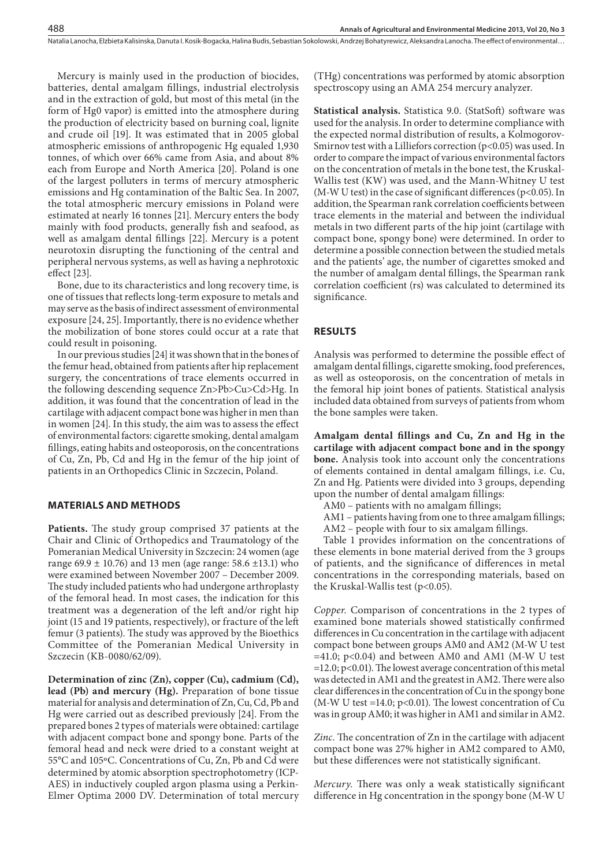Mercury is mainly used in the production of biocides, batteries, dental amalgam fillings, industrial electrolysis and in the extraction of gold, but most of this metal (in the form of Hg0 vapor) is emitted into the atmosphere during the production of electricity based on burning coal, lignite and crude oil [19]. It was estimated that in 2005 global atmospheric emissions of anthropogenic Hg equaled 1,930 tonnes, of which over 66% came from Asia, and about 8% each from Europe and North America [20]. Poland is one of the largest polluters in terms of mercury atmospheric emissions and Hg contamination of the Baltic Sea. In 2007, the total atmospheric mercury emissions in Poland were estimated at nearly 16 tonnes [21]. Mercury enters the body mainly with food products, generally fish and seafood, as well as amalgam dental fillings [22]. Mercury is a potent neurotoxin disrupting the functioning of the central and peripheral nervous systems, as well as having a nephrotoxic effect [23].

Bone, due to its characteristics and long recovery time, is one of tissues that reflects long-term exposure to metals and may serve as the basis of indirect assessment of environmental exposure [24, 25]. Importantly, there is no evidence whether the mobilization of bone stores could occur at a rate that could result in poisoning.

In our previous studies [24] it was shown that in the bones of the femur head, obtained from patients after hip replacement surgery, the concentrations of trace elements occurred in the following descending sequence Zn>Pb>Cu>Cd>Hg. In addition, it was found that the concentration of lead in the cartilage with adjacent compact bone was higher in men than in women [24]. In this study, the aim was to assess the effect of environmental factors: cigarette smoking, dental amalgam fillings, eating habits and osteoporosis, on the concentrations of Cu, Zn, Pb, Cd and Hg in the femur of the hip joint of patients in an Orthopedics Clinic in Szczecin, Poland.

# **MATERIALS AND METHODS**

**Patients.** The study group comprised 37 patients at the Chair and Clinic of Orthopedics and Traumatology of the Pomeranian Medical University in Szczecin: 24 women (age range 69.9 ± 10.76) and 13 men (age range: 58.6 ±13.1) who were examined between November 2007 – December 2009. The study included patients who had undergone arthroplasty of the femoral head. In most cases, the indication for this treatment was a degeneration of the left and/or right hip joint (15 and 19 patients, respectively), or fracture of the left femur (3 patients). The study was approved by the Bioethics Committee of the Pomeranian Medical University in Szczecin (KB-0080/62/09).

**Determination of zinc (Zn), copper (Cu), cadmium (Cd), lead (Pb) and mercury (Hg).** Preparation of bone tissue material for analysis and determination of Zn, Cu, Cd, Pb and Hg were carried out as described previously [24]. From the prepared bones 2 types of materials were obtained: cartilage with adjacent compact bone and spongy bone. Parts of the femoral head and neck were dried to a constant weight at 55°C and 105ºC. Concentrations of Cu, Zn, Pb and Cd were determined by atomic absorption spectrophotometry (ICP-AES) in inductively coupled argon plasma using a Perkin-Elmer Optima 2000 DV. Determination of total mercury

(THg) concentrations was performed by atomic absorption spectroscopy using an AMA 254 mercury analyzer.

**Statistical analysis.** Statistica 9.0. (StatSoft) software was used for the analysis. In order to determine compliance with the expected normal distribution of results, a Kolmogorov-Smirnov test with a Lilliefors correction  $(p<0.05)$  was used. In order to compare the impact of various environmental factors on the concentration of metals in the bone test, the Kruskal-Wallis test (KW) was used, and the Mann-Whitney U test (M-W U test) in the case of significant differences (p<0.05). In addition, the Spearman rank correlation coefficients between trace elements in the material and between the individual metals in two different parts of the hip joint (cartilage with compact bone, spongy bone) were determined. In order to determine a possible connection between the studied metals and the patients' age, the number of cigarettes smoked and the number of amalgam dental fillings, the Spearman rank correlation coefficient (rs) was calculated to determined its significance.

## **RESULTS**

Natalia Lanocha, Elzbieta Kalisinska, Danuta I. Kosik-Bogacka, Halina Budis, Sebastian Sokolowski, Andrzej Bohatyrewicz, Aleksandra Lanocha . The effect of environmental…

Analysis was performed to determine the possible effect of amalgam dental fillings, cigarette smoking, food preferences, as well as osteoporosis, on the concentration of metals in the femoral hip joint bones of patients. Statistical analysis included data obtained from surveys of patients from whom the bone samples were taken.

**Amalgam dental fillings and Cu, Zn and Hg in the cartilage with adjacent compact bone and in the spongy bone.** Analysis took into account only the concentrations of elements contained in dental amalgam fillings, i.e. Cu, Zn and Hg. Patients were divided into 3 groups, depending upon the number of dental amalgam fillings:

- AM0 patients with no amalgam fillings;
- AM1 patients having from one to three amalgam fillings;
- AM2 people with four to six amalgam fillings.

Table 1 provides information on the concentrations of these elements in bone material derived from the 3 groups of patients, and the significance of differences in metal concentrations in the corresponding materials, based on the Kruskal-Wallis test (p<0.05).

*Copper.* Comparison of concentrations in the 2 types of examined bone materials showed statistically confirmed differences in Cu concentration in the cartilage with adjacent compact bone between groups AM0 and AM2 (M-W U test  $=41.0$ ; p<0.04) and between AM0 and AM1 (M-W U test =12.0; p<0.01). The lowest average concentration of this metal was detected in AM1 and the greatest in AM2. There were also clear differences in the concentration of Cu in the spongy bone (M-W U test =14.0;  $p<0.01$ ). The lowest concentration of Cu was in group AM0; it was higher in AM1 and similar in AM2.

*Zinc.* The concentration of Zn in the cartilage with adjacent compact bone was 27% higher in AM2 compared to AM0, but these differences were not statistically significant.

*Mercury.* There was only a weak statistically significant difference in Hg concentration in the spongy bone (M-W U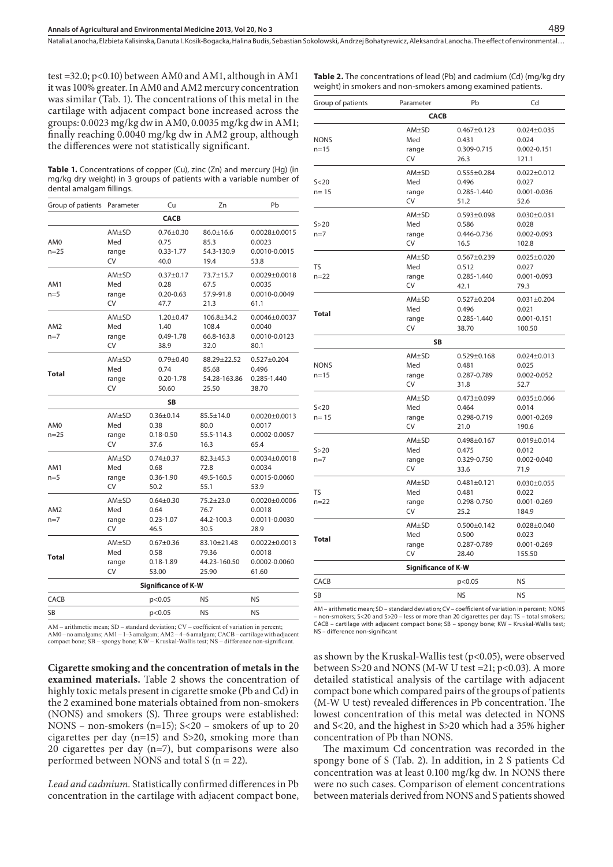Natalia Lanocha, Elzbieta Kalisinska, Danuta I. Kosik-Bogacka, Halina Budis, Sebastian Sokolowski, Andrzej Bohatyrewicz, Aleksandra Lanocha . The effect of environmental…

test =32.0; p<0.10) between AM0 and AM1, although in AM1 it was 100% greater. In AM0 and AM2 mercury concentration was similar (Tab. 1). The concentrations of this metal in the cartilage with adjacent compact bone increased across the groups: 0.0023 mg/kg dw in AM0, 0.0035 mg/kg dw in AM1; finally reaching 0.0040 mg/kg dw in AM2 group, although the differences were not statistically significant.

**Table 1.** Concentrations of copper (Cu), zinc (Zn) and mercury (Hg) (in mg/kg dry weight) in 3 groups of patients with a variable number of dental amalgam fillings.

| Group of patients        | Parameter                          | Cu                                               | Zn                                              | Pb                                                      |  |  |
|--------------------------|------------------------------------|--------------------------------------------------|-------------------------------------------------|---------------------------------------------------------|--|--|
| <b>CACB</b>              |                                    |                                                  |                                                 |                                                         |  |  |
| AM0<br>$n = 25$          | AM±SD<br>Med<br>range<br><b>CV</b> | $0.76 \pm 0.30$<br>0.75<br>$0.33 - 1.77$<br>40.0 | $86.0 \pm 16.6$<br>85.3<br>54.3-130.9<br>19.4   | $0.0028 \pm 0.0015$<br>0.0023<br>0.0010-0.0015<br>53.8  |  |  |
| AM1<br>$n=5$             | AM±SD<br>Med<br>range<br>CV        | $0.37 + 0.17$<br>0.28<br>$0.20 - 0.63$<br>47.7   | 73.7±15.7<br>67.5<br>57.9-91.8<br>21.3          | $0.0029 \pm 0.0018$<br>0.0035<br>0.0010-0.0049<br>61.1  |  |  |
| AM <sub>2</sub><br>$n=7$ | AM±SD<br>Med<br>range<br>CV        | $1.20 \pm 0.47$<br>1.40<br>0.49-1.78<br>38.9     | $106.8 \pm 34.2$<br>108.4<br>66.8-163.8<br>32.0 | $0.0046 \pm 0.0037$<br>0.0040<br>0.0010-0.0123<br>80.1  |  |  |
| <b>Total</b>             | AM±SD<br>Med<br>range<br>CV        | $0.79 + 0.40$<br>0.74<br>$0.20 - 1.78$<br>50.60  | 88.29±22.52<br>85.68<br>54.28-163.86<br>25.50   | $0.527 \pm 0.204$<br>0.496<br>0.285-1.440<br>38.70      |  |  |
|                          |                                    | <b>SB</b>                                        |                                                 |                                                         |  |  |
| AM0<br>$n = 25$          | $AM+SD$<br>Med<br>range<br>CV      | $0.36 \pm 0.14$<br>0.38<br>$0.18 - 0.50$<br>37.6 | $85.5 \pm 14.0$<br>80.0<br>55.5-114.3<br>16.3   | $0.0020 \pm 0.0013$<br>0.0017<br>0.0002-0.0057<br>65.4  |  |  |
| AM1<br>$n=5$             | AM±SD<br>Med<br>range<br>CV        | $0.74 \pm 0.37$<br>0.68<br>$0.36 - 1.90$<br>50.2 | $82.3 + 45.3$<br>72.8<br>49.5-160.5<br>55.1     | $0.0034 \pm 0.0018$<br>0.0034<br>0.0015-0.0060<br>53.9  |  |  |
| AM <sub>2</sub><br>$n=7$ | AM±SD<br>Med<br>range<br>CV        | $0.64 \pm 0.30$<br>0.64<br>$0.23 - 1.07$<br>46.5 | 75.2±23.0<br>76.7<br>44.2-100.3<br>30.5         | $0.0020 \pm 0.0006$<br>0.0018<br>0.0011-0.0030<br>28.9  |  |  |
| <b>Total</b>             | $AM+SD$<br>Med<br>range<br>CV      | $0.67 + 0.36$<br>0.58<br>$0.18 - 1.89$<br>53.00  | 83.10±21.48<br>79.36<br>44.23-160.50<br>25.90   | $0.0022 \pm 0.0013$<br>0.0018<br>0.0002-0.0060<br>61.60 |  |  |
| Significance of K-W      |                                    |                                                  |                                                 |                                                         |  |  |
| CACB                     |                                    | p<0.05                                           | NS                                              | NS                                                      |  |  |
| <b>SB</b>                |                                    | p<0.05                                           | <b>NS</b>                                       | <b>NS</b>                                               |  |  |

AM – arithmetic mean; SD – standard deviation; CV – coefficient of variation in percent; AM0 – no amalgams; AM1 – 1–3 amalgam; AM2 – 4–6 amalgam; CACB – cartilage with adjacent compact bone; SB – spongy bone; KW – Kruskal-Wallis test; NS – difference non-significant.

**Cigarette smoking and the concentration of metals in the examined materials.** Table 2 shows the concentration of highly toxic metals present in cigarette smoke (Pb and Cd) in the 2 examined bone materials obtained from non-smokers (NONS) and smokers (S). Three groups were established: NONS – non-smokers (n=15); S<20 – smokers of up to 20 cigarettes per day (n=15) and S>20, smoking more than 20 cigarettes per day (n=7), but comparisons were also performed between NONS and total S (n = 22).

*Lead and cadmium.* Statistically confirmed differences in Pb concentration in the cartilage with adjacent compact bone,

| <b>Table 2.</b> The concentrations of lead (Pb) and cadmium (Cd) (mg/kg dry |
|-----------------------------------------------------------------------------|
| weight) in smokers and non-smokers among examined patients.                 |

| Group of patients |                            |                                                                                                                                                                                                                                                                                                                                                                                                                                                                       |                            |  |  |  |
|-------------------|----------------------------|-----------------------------------------------------------------------------------------------------------------------------------------------------------------------------------------------------------------------------------------------------------------------------------------------------------------------------------------------------------------------------------------------------------------------------------------------------------------------|----------------------------|--|--|--|
|                   |                            |                                                                                                                                                                                                                                                                                                                                                                                                                                                                       |                            |  |  |  |
|                   |                            | Parameter<br>Pb<br>Cd<br><b>CACB</b><br>AM±SD<br>$0.467 \pm 0.123$<br>$0.024 \pm 0.035$<br>Med<br>0.431<br>0.024<br>0.309-0.715<br>$0.002 - 0.151$<br>range<br>CV<br>26.3<br>121.1<br>AM±SD<br>$0.555 \pm 0.284$<br>$0.022 \pm 0.012$<br>Med<br>0.496<br>0.027<br>0.285-1.440<br>0.001-0.036<br>range<br>CV<br>51.2<br>52.6<br>AM±SD<br>$0.593 \pm 0.098$<br>$0.030 \pm 0.031$<br>Med<br>0.586<br>0.028<br>0.446-0.736<br>0.002-0.093<br>range<br>CV<br>16.5<br>102.8 |                            |  |  |  |
|                   |                            |                                                                                                                                                                                                                                                                                                                                                                                                                                                                       |                            |  |  |  |
| <b>NONS</b>       |                            |                                                                                                                                                                                                                                                                                                                                                                                                                                                                       |                            |  |  |  |
| $n = 15$          |                            |                                                                                                                                                                                                                                                                                                                                                                                                                                                                       |                            |  |  |  |
|                   |                            |                                                                                                                                                                                                                                                                                                                                                                                                                                                                       |                            |  |  |  |
|                   |                            |                                                                                                                                                                                                                                                                                                                                                                                                                                                                       |                            |  |  |  |
| S<20              |                            |                                                                                                                                                                                                                                                                                                                                                                                                                                                                       |                            |  |  |  |
| $n = 15$          |                            |                                                                                                                                                                                                                                                                                                                                                                                                                                                                       |                            |  |  |  |
|                   |                            |                                                                                                                                                                                                                                                                                                                                                                                                                                                                       |                            |  |  |  |
|                   |                            |                                                                                                                                                                                                                                                                                                                                                                                                                                                                       |                            |  |  |  |
| S > 20            |                            |                                                                                                                                                                                                                                                                                                                                                                                                                                                                       |                            |  |  |  |
| $n=7$             |                            |                                                                                                                                                                                                                                                                                                                                                                                                                                                                       |                            |  |  |  |
|                   |                            |                                                                                                                                                                                                                                                                                                                                                                                                                                                                       |                            |  |  |  |
|                   | AM±SD                      | $0.567 \pm 0.239$                                                                                                                                                                                                                                                                                                                                                                                                                                                     | $0.025 \pm 0.020$          |  |  |  |
| TS                | Med                        | 0.512                                                                                                                                                                                                                                                                                                                                                                                                                                                                 | 0.027                      |  |  |  |
| $n = 22$          | range                      | 0.285-1.440                                                                                                                                                                                                                                                                                                                                                                                                                                                           | 0.001-0.093                |  |  |  |
|                   | CV                         | 42.1                                                                                                                                                                                                                                                                                                                                                                                                                                                                  | 79.3                       |  |  |  |
|                   | AM±SD                      | $0.527 \pm 0.204$                                                                                                                                                                                                                                                                                                                                                                                                                                                     | $0.031 \pm 0.204$          |  |  |  |
|                   | Med                        | 0.496                                                                                                                                                                                                                                                                                                                                                                                                                                                                 | 0.021                      |  |  |  |
| Total             | range                      | 0.285-1.440                                                                                                                                                                                                                                                                                                                                                                                                                                                           | $0.001 - 0.151$            |  |  |  |
|                   | CV                         | 38.70                                                                                                                                                                                                                                                                                                                                                                                                                                                                 | 100.50                     |  |  |  |
|                   | <b>SB</b>                  |                                                                                                                                                                                                                                                                                                                                                                                                                                                                       |                            |  |  |  |
|                   | AM±SD                      | $0.529 \pm 0.168$                                                                                                                                                                                                                                                                                                                                                                                                                                                     | $0.024 \pm 0.013$          |  |  |  |
| <b>NONS</b>       | Med                        | 0.481                                                                                                                                                                                                                                                                                                                                                                                                                                                                 | 0.025                      |  |  |  |
| $n = 15$          | range                      | 0.287-0.789                                                                                                                                                                                                                                                                                                                                                                                                                                                           | 0.002-0.052                |  |  |  |
|                   | CV                         | 31.8                                                                                                                                                                                                                                                                                                                                                                                                                                                                  | 52.7                       |  |  |  |
|                   | AM±SD                      |                                                                                                                                                                                                                                                                                                                                                                                                                                                                       |                            |  |  |  |
| S < 20            | Med                        | $0.473 \pm 0.099$<br>0.464                                                                                                                                                                                                                                                                                                                                                                                                                                            | $0.035 \pm 0.066$<br>0.014 |  |  |  |
| $n = 15$          |                            | 0.298-0.719                                                                                                                                                                                                                                                                                                                                                                                                                                                           | 0.001-0.269                |  |  |  |
|                   | range<br>CV                | 21.0                                                                                                                                                                                                                                                                                                                                                                                                                                                                  | 190.6                      |  |  |  |
|                   |                            |                                                                                                                                                                                                                                                                                                                                                                                                                                                                       |                            |  |  |  |
|                   | AM±SD                      | $0.498 \pm 0.167$                                                                                                                                                                                                                                                                                                                                                                                                                                                     | $0.019 \pm 0.014$          |  |  |  |
| S>20              | Med                        | 0.475                                                                                                                                                                                                                                                                                                                                                                                                                                                                 | 0.012                      |  |  |  |
| $n=7$             | range                      | 0.329-0.750                                                                                                                                                                                                                                                                                                                                                                                                                                                           | 0.002-0.040                |  |  |  |
|                   | CV                         | 33.6                                                                                                                                                                                                                                                                                                                                                                                                                                                                  | 71.9                       |  |  |  |
|                   | AM±SD                      | $0.481 \pm 0.121$                                                                                                                                                                                                                                                                                                                                                                                                                                                     | $0.030 \pm 0.055$          |  |  |  |
| <b>TS</b>         | Med                        | 0.481                                                                                                                                                                                                                                                                                                                                                                                                                                                                 | 0.022                      |  |  |  |
| $n = 22$          | range                      | 0.298-0.750                                                                                                                                                                                                                                                                                                                                                                                                                                                           | 0.001-0.269                |  |  |  |
|                   | CV                         | 25.2                                                                                                                                                                                                                                                                                                                                                                                                                                                                  | 184.9                      |  |  |  |
|                   | AM±SD                      | $0.500 \pm 0.142$                                                                                                                                                                                                                                                                                                                                                                                                                                                     | $0.028 \pm 0.040$          |  |  |  |
| <b>Total</b>      | Med                        | 0.500                                                                                                                                                                                                                                                                                                                                                                                                                                                                 | 0.023                      |  |  |  |
|                   | range                      | 0.287-0.789                                                                                                                                                                                                                                                                                                                                                                                                                                                           | 0.001-0.269                |  |  |  |
|                   | CV                         | 28.40                                                                                                                                                                                                                                                                                                                                                                                                                                                                 | 155.50                     |  |  |  |
|                   | <b>Significance of K-W</b> |                                                                                                                                                                                                                                                                                                                                                                                                                                                                       |                            |  |  |  |
| CACB              |                            | p<0.05                                                                                                                                                                                                                                                                                                                                                                                                                                                                | NS                         |  |  |  |
| <b>SB</b>         |                            | <b>NS</b>                                                                                                                                                                                                                                                                                                                                                                                                                                                             | <b>NS</b>                  |  |  |  |

AM – arithmetic mean; SD – standard deviation; CV – coefficient of variation in percent; NONS – non-smokers; S<20 and S>20 – less or more than 20 cigarettes per day; TS – total smokers; CACB – cartilage with adjacent compact bone; SB – spongy bone; KW – Kruskal-Wallis test; NS – difference non-significant

as shown by the Kruskal-Wallis test (p<0.05), were observed between S>20 and NONS (M-W U test =21; p<0.03). A more detailed statistical analysis of the cartilage with adjacent compact bone which compared pairs of the groups of patients (M-W U test) revealed differences in Pb concentration. The lowest concentration of this metal was detected in NONS and S<20, and the highest in S>20 which had a 35% higher concentration of Pb than NONS.

The maximum Cd concentration was recorded in the spongy bone of S (Tab. 2). In addition, in 2 S patients Cd concentration was at least 0.100 mg/kg dw. In NONS there were no such cases. Comparison of element concentrations between materials derived from NONS and S patients showed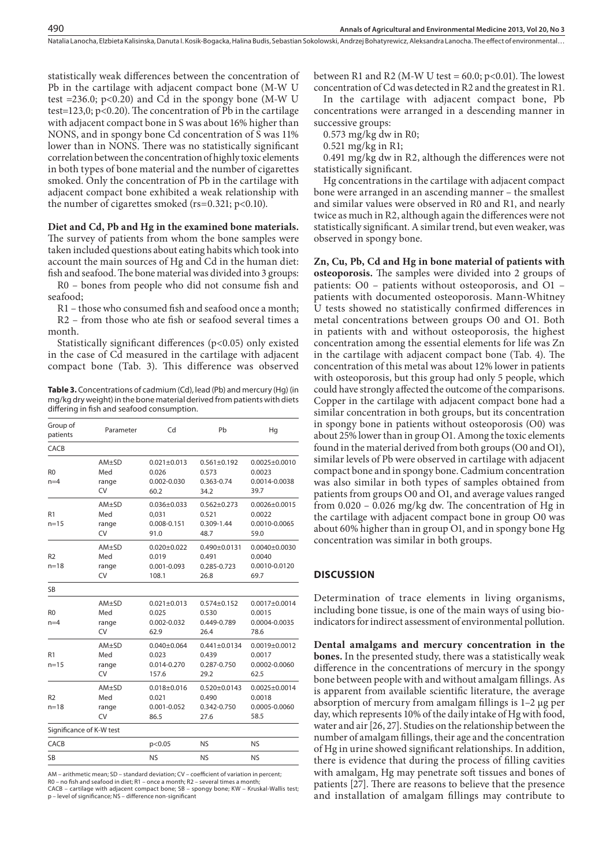Natalia Lanocha, Elzbieta Kalisinska, Danuta I. Kosik-Bogacka, Halina Budis, Sebastian Sokolowski, Andrzej Bohatyrewicz, Aleksandra Lanocha . The effect of environmental…

statistically weak differences between the concentration of Pb in the cartilage with adjacent compact bone (M-W U test =236.0;  $p<0.20$ ) and Cd in the spongy bone (M-W U test=123,0; p<0.20). The concentration of Pb in the cartilage with adjacent compact bone in S was about 16% higher than NONS, and in spongy bone Cd concentration of S was 11% lower than in NONS. There was no statistically significant correlation between the concentration of highly toxic elements in both types of bone material and the number of cigarettes smoked. Only the concentration of Pb in the cartilage with adjacent compact bone exhibited a weak relationship with the number of cigarettes smoked (rs=0.321; p<0.10).

#### **Diet and Cd, Pb and Hg in the examined bone materials.**

The survey of patients from whom the bone samples were taken included questions about eating habits which took into account the main sources of Hg and Cd in the human diet: fish and seafood. The bone material was divided into 3 groups:

R0 – bones from people who did not consume fish and seafood;

R1 – those who consumed fish and seafood once a month; R2 – from those who ate fish or seafood several times a month.

Statistically significant differences (p<0.05) only existed in the case of Cd measured in the cartilage with adjacent compact bone (Tab. 3). This difference was observed

**Table 3.** Concentrations of cadmium (Cd), lead (Pb) and mercury (Hg) (in mg/kg dry weight) in the bone material derived from patients with diets differing in fish and seafood consumption.

| Group of<br>patients       | Parameter                          | Cd                                                     | Pb                                                 | Hq                                                     |
|----------------------------|------------------------------------|--------------------------------------------------------|----------------------------------------------------|--------------------------------------------------------|
| CACB                       |                                    |                                                        |                                                    |                                                        |
| R <sub>0</sub><br>$n=4$    | $AM+SD$<br>Med<br>range<br>CV      | $0.021 \pm 0.013$<br>0.026<br>$0.002 - 0.030$<br>60.2  | $0.561 \pm 0.192$<br>0.573<br>0.363-0.74<br>34.2   | $0.0025 \pm 0.0010$<br>0.0023<br>0.0014-0.0038<br>39.7 |
| R1<br>$n = 15$             | AM±SD<br>Med<br>range<br>CV        | $0.036 \pm 0.033$<br>0,031<br>0.008-0.151<br>91.0      | $0.562 \pm 0.273$<br>0.521<br>0.309-1.44<br>48.7   | $0.0026 \pm 0.0015$<br>0.0022<br>0.0010-0.0065<br>59.0 |
| R <sub>2</sub><br>$n = 18$ | AM±SD<br>Med<br>range<br>CV        | $0.020 \pm 0.022$<br>0.019<br>$0.001 - 0.093$<br>108.1 | $0.490 \pm 0.0131$<br>0.491<br>0.285-0.723<br>26.8 | $0.0040 \pm 0.0030$<br>0.0040<br>0.0010-0.0120<br>69.7 |
| <b>SB</b>                  |                                    |                                                        |                                                    |                                                        |
| R <sub>0</sub><br>$n=4$    | AM±SD<br>Med<br>range<br><b>CV</b> | $0.021 \pm 0.013$<br>0.025<br>0.002-0.032<br>62.9      | $0.574 \pm 0.152$<br>0.530<br>0.449-0.789<br>26.4  | $0.0017 + 0.0014$<br>0.0015<br>0.0004-0.0035<br>78.6   |
| R <sub>1</sub><br>$n = 15$ | $AM+SD$<br>Med<br>range<br>CV      | $0.040 \pm 0.064$<br>0.023<br>0.014-0.270<br>157.6     | $0.441 \pm 0.0134$<br>0.439<br>0.287-0.750<br>29.2 | $0.0019 \pm 0.0012$<br>0.0017<br>0.0002-0.0060<br>62.5 |
| R <sub>2</sub><br>$n = 18$ | $AM+SD$<br>Med<br>range<br>CV      | $0.018 + 0.016$<br>0.021<br>$0.001 - 0.052$<br>86.5    | $0.520 \pm 0.0143$<br>0.490<br>0.342-0.750<br>27.6 | $0.0025 \pm 0.0014$<br>0.0018<br>0.0005-0.0060<br>58.5 |
| Significance of K-W test   |                                    |                                                        |                                                    |                                                        |
| CACB                       |                                    | p<0.05                                                 | <b>NS</b>                                          | <b>NS</b>                                              |
| <b>SB</b>                  |                                    | <b>NS</b>                                              | <b>NS</b>                                          | <b>NS</b>                                              |

AM – arithmetic mean; SD – standard deviation; CV – coefficient of variation in percent; R0 – no fish and seafood in diet; R1 – once a month; R2 – several times a month; CACB – cartilage with adjacent compact bone; SB – spongy bone; KW – Kruskal-Wallis test; p – level of significance; NS – difference non-significant

between R1 and R2 (M-W U test =  $60.0$ ; p<0.01). The lowest concentration of Cd was detected in R2 and the greatest in R1.

In the cartilage with adjacent compact bone, Pb concentrations were arranged in a descending manner in successive groups:

0.573 mg/kg dw in R0;

0.521 mg/kg in R1;

0.491 mg/kg dw in R2, although the differences were not statistically significant.

Hg concentrations in the cartilage with adjacent compact bone were arranged in an ascending manner – the smallest and similar values were observed in R0 and R1, and nearly twice as much in R2, although again the differences were not statistically significant. A similar trend, but even weaker, was observed in spongy bone.

**Zn, Cu, Pb, Cd and Hg in bone material of patients with osteoporosis.** The samples were divided into 2 groups of patients: O0 – patients without osteoporosis, and O1 – patients with documented osteoporosis. Mann-Whitney U tests showed no statistically confirmed differences in metal concentrations between groups O0 and O1. Both in patients with and without osteoporosis, the highest concentration among the essential elements for life was Zn in the cartilage with adjacent compact bone (Tab. 4). The concentration of this metal was about 12% lower in patients with osteoporosis, but this group had only 5 people, which could have strongly affected the outcome of the comparisons. Copper in the cartilage with adjacent compact bone had a similar concentration in both groups, but its concentration in spongy bone in patients without osteoporosis (O0) was about 25% lower than in group O1. Among the toxic elements found in the material derived from both groups (O0 and O1), similar levels of Pb were observed in cartilage with adjacent compact bone and in spongy bone. Cadmium concentration was also similar in both types of samples obtained from patients from groups O0 and O1, and average values ranged from 0.020 – 0.026 mg/kg dw. The concentration of Hg in the cartilage with adjacent compact bone in group O0 was about 60% higher than in group O1, and in spongy bone Hg concentration was similar in both groups.

## **DISCUSSION**

Determination of trace elements in living organisms, including bone tissue, is one of the main ways of using bioindicators for indirect assessment of environmental pollution.

**Dental amalgams and mercury concentration in the bones.** In the presented study, there was a statistically weak difference in the concentrations of mercury in the spongy bone between people with and without amalgam fillings. As is apparent from available scientific literature, the average absorption of mercury from amalgam fillings is 1–2 µg per day, which represents 10% of the daily intake of Hg with food, water and air [26, 27]. Studies on the relationship between the number of amalgam fillings, their age and the concentration of Hg in urine showed significant relationships. In addition, there is evidence that during the process of filling cavities with amalgam, Hg may penetrate soft tissues and bones of patients [27]. There are reasons to believe that the presence and installation of amalgam fillings may contribute to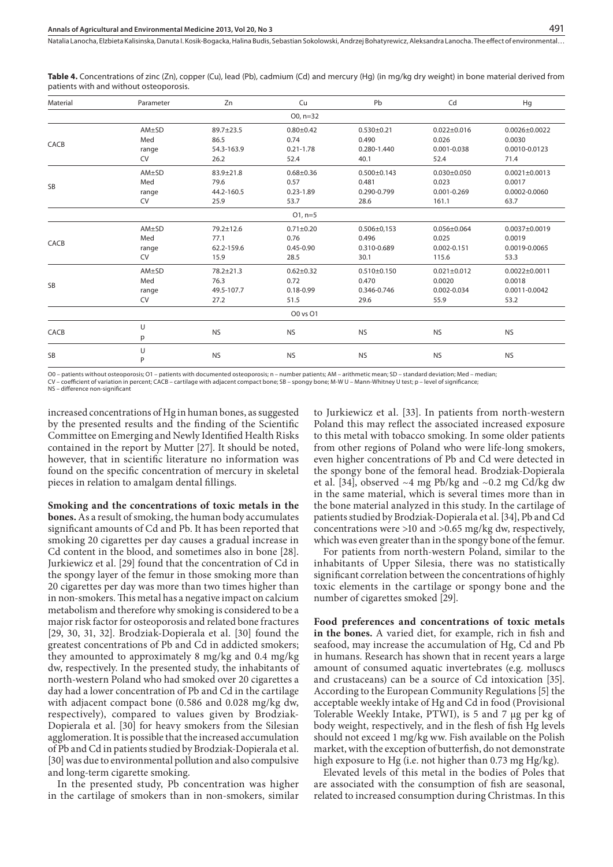**Table 4.** Concentrations of zinc (Zn), copper (Cu), lead (Pb), cadmium (Cd) and mercury (Hg) (in mg/kg dry weight) in bone material derived from patients with and without osteoporosis.

| Material     | Parameter    | Zn                | Cu                    | Pb                        | Cd                         | Hg                            |
|--------------|--------------|-------------------|-----------------------|---------------------------|----------------------------|-------------------------------|
| $O_0$ , n=32 |              |                   |                       |                           |                            |                               |
| CACB         | AM±SD<br>Med | 89.7±23.5<br>86.5 | $0.80 + 0.42$<br>0.74 | $0.530 \pm 0.21$<br>0.490 | $0.022 \pm 0.016$<br>0.026 | $0.0026 \pm 0.0022$<br>0.0030 |
|              | range        | 54.3-163.9        | $0.21 - 1.78$         | 0.280-1.440               | $0.001 - 0.038$            | 0.0010-0.0123                 |
|              | CV           | 26.2              | 52.4                  | 40.1                      | 52.4                       | 71.4                          |
| <b>SB</b>    | AM±SD        | 83.9±21.8         | $0.68 + 0.36$         | $0.500 \pm 0.143$         | $0.030 + 0.050$            | $0.0021 \pm 0.0013$           |
|              | Med          | 79.6              | 0.57                  | 0.481                     | 0.023                      | 0.0017                        |
|              | range        | 44.2-160.5        | $0.23 - 1.89$         | 0.290-0.799               | $0.001 - 0.269$            | 0.0002-0.0060                 |
|              | CV           | 25.9              | 53.7                  | 28.6                      | 161.1                      | 63.7                          |
|              |              |                   | $O1, n=5$             |                           |                            |                               |
| CACB         | AM±SD        | $79.2 \pm 12.6$   | $0.71 \pm 0.20$       | $0.506 \pm 0.153$         | $0.056 \pm 0.064$          | $0.0037 + 0.0019$             |
|              | Med          | 77.1              | 0.76                  | 0.496                     | 0.025                      | 0.0019                        |
|              | range        | 62.2-159.6        | $0.45 - 0.90$         | 0.310-0.689               | $0.002 - 0.151$            | 0.0019-0.0065                 |
|              | CV           | 15.9              | 28.5                  | 30.1                      | 115.6                      | 53.3                          |
| <b>SB</b>    | AM±SD        | 78.2±21.3         | $0.62 \pm 0.32$       | $0.510 \pm 0.150$         | $0.021 \pm 0.012$          | $0.0022 \pm 0.0011$           |
|              | Med          | 76.3              | 0.72                  | 0.470                     | 0.0020                     | 0.0018                        |
|              | range        | 49.5-107.7        | $0.18 - 0.99$         | 0.346-0.746               | 0.002-0.034                | 0.0011-0.0042                 |
|              | <b>CV</b>    | 27.2              | 51.5                  | 29.6                      | 55.9                       | 53.2                          |
|              |              |                   | 00 vs 01              |                           |                            |                               |
| CACB         | U            | <b>NS</b>         | <b>NS</b>             | <b>NS</b>                 | <b>NS</b>                  | <b>NS</b>                     |
|              | p            |                   |                       |                           |                            |                               |
| <b>SB</b>    | U<br>P       | <b>NS</b>         | <b>NS</b>             | <b>NS</b>                 | <b>NS</b>                  | <b>NS</b>                     |

O0 – patients without osteoporosis; O1 – patients with documented osteoporosis; n – number patients; AM – arithmetic mean; SD – standard deviation; Med – median;

CV – coefficient of variation in percent; CACB – cartilage with adjacent compact bone; SB – spongy bone; M-W U – Mann-Whitney U test; p – level of significance;

NS – difference non-significant

increased concentrations of Hg in human bones, as suggested by the presented results and the finding of the Scientific Committee on Emerging and Newly Identified Health Risks contained in the report by Mutter [27]. It should be noted, however, that in scientific literature no information was found on the specific concentration of mercury in skeletal pieces in relation to amalgam dental fillings.

**Smoking and the concentrations of toxic metals in the bones.** As a result of smoking, the human body accumulates significant amounts of Cd and Pb. It has been reported that smoking 20 cigarettes per day causes a gradual increase in Cd content in the blood, and sometimes also in bone [28]. Jurkiewicz et al. [29] found that the concentration of Cd in the spongy layer of the femur in those smoking more than 20 cigarettes per day was more than two times higher than in non-smokers. This metal has a negative impact on calcium metabolism and therefore why smoking is considered to be a major risk factor for osteoporosis and related bone fractures [29, 30, 31, 32]. Brodziak-Dopierala et al. [30] found the greatest concentrations of Pb and Cd in addicted smokers; they amounted to approximately 8 mg/kg and 0.4 mg/kg dw, respectively. In the presented study, the inhabitants of north-western Poland who had smoked over 20 cigarettes a day had a lower concentration of Pb and Cd in the cartilage with adjacent compact bone (0.586 and 0.028 mg/kg dw, respectively), compared to values given by Brodziak-Dopierala et al. [30] for heavy smokers from the Silesian agglomeration. It is possible that the increased accumulation of Pb and Cd in patients studied by Brodziak-Dopierala et al. [30] was due to environmental pollution and also compulsive and long-term cigarette smoking.

In the presented study, Pb concentration was higher in the cartilage of smokers than in non-smokers, similar

to Jurkiewicz et al. [33]. In patients from north-western Poland this may reflect the associated increased exposure to this metal with tobacco smoking. In some older patients from other regions of Poland who were life-long smokers, even higher concentrations of Pb and Cd were detected in the spongy bone of the femoral head. Brodziak-Dopierala et al. [34], observed  $~4$  mg Pb/kg and  $~0.2$  mg Cd/kg dw in the same material, which is several times more than in the bone material analyzed in this study. In the cartilage of patients studied by Brodziak-Dopierala et al. [34], Pb and Cd concentrations were >10 and >0.65 mg/kg dw, respectively, which was even greater than in the spongy bone of the femur.

491

For patients from north-western Poland, similar to the inhabitants of Upper Silesia, there was no statistically significant correlation between the concentrations of highly toxic elements in the cartilage or spongy bone and the number of cigarettes smoked [29].

**Food preferences and concentrations of toxic metals in the bones.** A varied diet, for example, rich in fish and seafood, may increase the accumulation of Hg, Cd and Pb in humans. Research has shown that in recent years a large amount of consumed aquatic invertebrates (e.g. molluscs and crustaceans) can be a source of Cd intoxication [35]. According to the European Community Regulations [5] the acceptable weekly intake of Hg and Cd in food (Provisional Tolerable Weekly Intake, PTWI), is 5 and 7 µg per kg of body weight, respectively, and in the flesh of fish Hg levels should not exceed 1 mg/kg ww. Fish available on the Polish market, with the exception of butterfish, do not demonstrate high exposure to Hg (i.e. not higher than 0.73 mg Hg/kg).

Elevated levels of this metal in the bodies of Poles that are associated with the consumption of fish are seasonal, related to increased consumption during Christmas. In this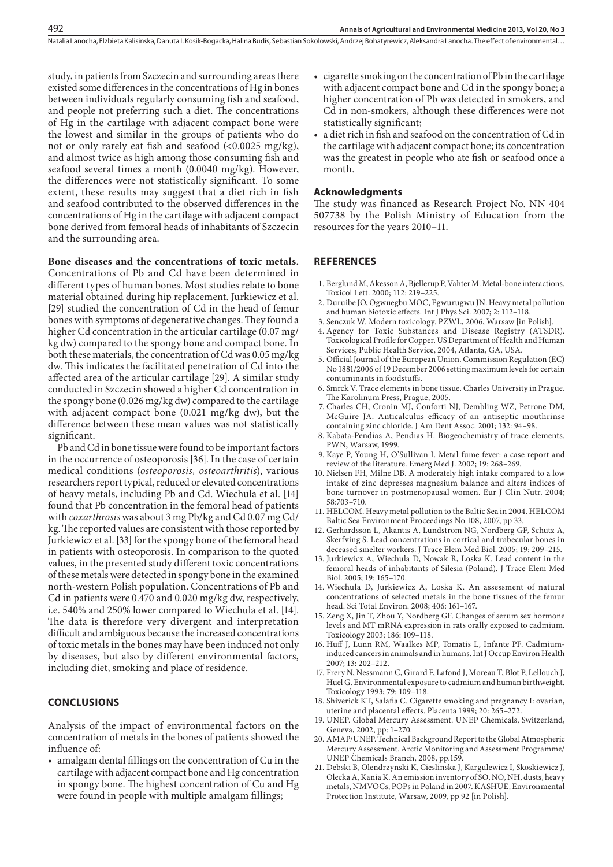study, in patients from Szczecin and surrounding areas there existed some differences in the concentrations of Hg in bones between individuals regularly consuming fish and seafood, and people not preferring such a diet. The concentrations of Hg in the cartilage with adjacent compact bone were the lowest and similar in the groups of patients who do not or only rarely eat fish and seafood (<0.0025 mg/kg), and almost twice as high among those consuming fish and seafood several times a month (0.0040 mg/kg). However, the differences were not statistically significant. To some extent, these results may suggest that a diet rich in fish and seafood contributed to the observed differences in the concentrations of Hg in the cartilage with adjacent compact bone derived from femoral heads of inhabitants of Szczecin and the surrounding area.

492

#### **Bone diseases and the concentrations of toxic metals.**

Concentrations of Pb and Cd have been determined in different types of human bones. Most studies relate to bone material obtained during hip replacement. Jurkiewicz et al. [29] studied the concentration of Cd in the head of femur bones with symptoms of degenerative changes. They found a higher Cd concentration in the articular cartilage (0.07 mg/ kg dw) compared to the spongy bone and compact bone. In both these materials, the concentration of Cd was 0.05 mg/kg dw. This indicates the facilitated penetration of Cd into the affected area of the articular cartilage [29]. A similar study conducted in Szczecin showed a higher Cd concentration in the spongy bone (0.026 mg/kg dw) compared to the cartilage with adjacent compact bone (0.021 mg/kg dw), but the difference between these mean values was not statistically significant.

Pb and Cd in bone tissue were found to be important factors in the occurrence of osteoporosis [36]. In the case of certain medical conditions (*osteoporosis, osteoarthritis*), various researchers report typical, reduced or elevated concentrations of heavy metals, including Pb and Cd. Wiechula et al. [14] found that Pb concentration in the femoral head of patients with *coxarthrosis* was about 3 mg Pb/kg and Cd 0.07 mg Cd/ kg. The reported values are consistent with those reported by Jurkiewicz et al. [33] for the spongy bone of the femoral head in patients with osteoporosis. In comparison to the quoted values, in the presented study different toxic concentrations of these metals were detected in spongy bone in the examined north-western Polish population. Concentrations of Pb and Cd in patients were 0.470 and 0.020 mg/kg dw, respectively, i.e. 540% and 250% lower compared to Wiechula et al. [14]. The data is therefore very divergent and interpretation difficult and ambiguous because the increased concentrations of toxic metals in the bones may have been induced not only by diseases, but also by different environmental factors, including diet, smoking and place of residence.

## **CONCLUSIONS**

Analysis of the impact of environmental factors on the concentration of metals in the bones of patients showed the influence of:

• amalgam dental fillings on the concentration of Cu in the cartilage with adjacent compact bone and Hg concentration in spongy bone. The highest concentration of Cu and Hg were found in people with multiple amalgam fillings;

- cigarette smoking on the concentration of Pb in the cartilage with adjacent compact bone and Cd in the spongy bone; a higher concentration of Pb was detected in smokers, and Cd in non-smokers, although these differences were not statistically significant;
- a diet rich in fish and seafood on the concentration of Cd in the cartilage with adjacent compact bone; its concentration was the greatest in people who ate fish or seafood once a month.

#### **Acknowledgments**

The study was financed as Research Project No. NN 404 507738 by the Polish Ministry of Education from the resources for the years 2010–11.

### **REFERENCES**

- 1. Berglund M, Akesson A, Bjellerup P, Vahter M. Metal-bone interactions. Toxicol Lett. 2000; 112: 219–225.
- 2. Duruibe JO, Ogwuegbu MOC, Egwurugwu JN. Heavy metal pollution and human biotoxic effects. Int J Phys Sci. 2007; 2: 112–118.
- 3. Senczuk W. Modern toxicology. PZWL, 2006, Warsaw [in Polish].
- 4. Agency for Toxic Substances and Disease Registry (ATSDR). Toxicological Profile for Copper. US Department of Health and Human Services, Public Health Service, 2004, Atlanta, GA, USA.
- 5. Official Journal of the European Union. Commission Regulation (EC) No 1881/2006 of 19 December 2006 setting maximum levels for certain contaminants in foodstuffs.
- 6. Smrck V. Trace elements in bone tissue. Charles University in Prague. The Karolinum Press, Prague, 2005.
- 7. Charles CH, Cronin MJ, Conforti NJ, Dembling WZ, Petrone DM, McGuire JA. Anticalculus efficacy of an antiseptic mouthrinse containing zinc chloride. J Am Dent Assoc. 2001; 132: 94–98.
- 8. Kabata-Pendias A, Pendias H. Biogeochemistry of trace elements. PWN, Warsaw, 1999.
- 9. Kaye P, Young H, O'Sullivan I. Metal fume fever: a case report and review of the literature. Emerg Med J. 2002; 19: 268–269.
- 10. Nielsen FH, Milne DB. A moderately high intake compared to a low intake of zinc depresses magnesium balance and alters indices of bone turnover in postmenopausal women. Eur J Clin Nutr. 2004; 58:703–710.
- 11. HELCOM. Heavy metal pollution to the Baltic Sea in 2004. HELCOM Baltic Sea Environment Proceedings No 108, 2007, pp 33.
- 12. Gerhardsson L, Akantis A, Lundstrom NG, Nordberg GF, Schutz A, Skerfving S. Lead concentrations in cortical and trabecular bones in deceased smelter workers. J Trace Elem Med Biol. 2005; 19: 209–215.
- 13. Jurkiewicz A, Wiechula D, Nowak R, Loska K. Lead content in the femoral heads of inhabitants of Silesia (Poland). J Trace Elem Med Biol. 2005; 19: 165–170.
- 14. Wiechula D, Jurkiewicz A, Loska K. An assessment of natural concentrations of selected metals in the bone tissues of the femur head. Sci Total Environ. 2008; 406: 161–167.
- 15. Zeng X, Jin T, Zhou Y, Nordberg GF. Changes of serum sex hormone levels and MT mRNA expression in rats orally exposed to cadmium. Toxicology 2003; 186: 109–118.
- 16. Huff J, Lunn RM, Waalkes MP, Tomatis L, Infante PF. Cadmiuminduced cancers in animals and in humans. Int J Occup Environ Health 2007; 13: 202–212.
- 17. Frery N, Nessmann C, Girard F, Lafond J, Moreau T, Blot P, Lellouch J, Huel G. Environmental exposure to cadmium and human birthweight. Toxicology 1993; 79: 109–118.
- 18. Shiverick KT, Salafia C. Cigarette smoking and pregnancy I: ovarian, uterine and placental effects. Placenta 1999; 20: 265–272.
- 19. UNEP. Global Mercury Assessment. UNEP Chemicals, Switzerland, Geneva, 2002, pp: 1–270.
- 20. AMAP/UNEP. Technical Background Report to the Global Atmospheric Mercury Assessment. Arctic Monitoring and Assessment Programme/ UNEP Chemicals Branch, 2008, pp.159.
- 21. Debski B, Olendrzynski K, Cieslinska J, Kargulewicz I, Skoskiewicz J, Olecka A, Kania K. An emission inventory of SO, NO, NH, dusts, heavy metals, NMVOCs, POPs in Poland in 2007. KASHUE, Environmental Protection Institute, Warsaw, 2009, pp 92 [in Polish].